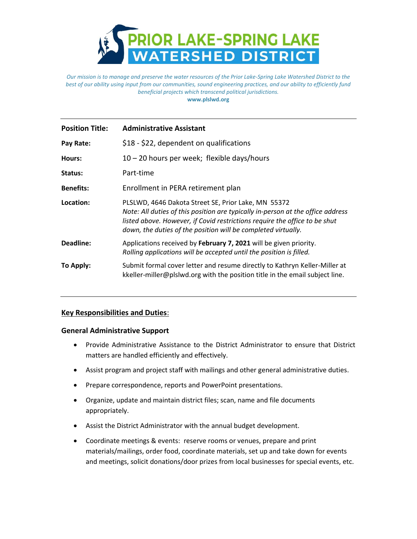

*Our mission is to manage and preserve the water resources of the Prior Lake-Spring Lake Watershed District to the best of our ability using input from our communities, sound engineering practices, and our ability to efficiently fund beneficial projects which transcend political jurisdictions.*

**www.plslwd.org**

| <b>Position Title:</b> | <b>Administrative Assistant</b>                                                                                                                                                                                                                                                       |
|------------------------|---------------------------------------------------------------------------------------------------------------------------------------------------------------------------------------------------------------------------------------------------------------------------------------|
| Pay Rate:              | \$18 - \$22, dependent on qualifications                                                                                                                                                                                                                                              |
| Hours:                 | $10 - 20$ hours per week; flexible days/hours                                                                                                                                                                                                                                         |
| Status:                | Part-time                                                                                                                                                                                                                                                                             |
| <b>Benefits:</b>       | Enrollment in PERA retirement plan                                                                                                                                                                                                                                                    |
| Location:              | PLSLWD, 4646 Dakota Street SE, Prior Lake, MN 55372<br>Note: All duties of this position are typically in-person at the office address<br>listed above. However, if Covid restrictions require the office to be shut<br>down, the duties of the position will be completed virtually. |
| Deadline:              | Applications received by February 7, 2021 will be given priority.<br>Rolling applications will be accepted until the position is filled.                                                                                                                                              |
| To Apply:              | Submit formal cover letter and resume directly to Kathryn Keller-Miller at<br>kkeller-miller@plslwd.org with the position title in the email subject line.                                                                                                                            |

#### **Key Responsibilities and Duties**:

#### **General Administrative Support**

- Provide Administrative Assistance to the District Administrator to ensure that District matters are handled efficiently and effectively.
- Assist program and project staff with mailings and other general administrative duties.
- Prepare correspondence, reports and PowerPoint presentations.
- Organize, update and maintain district files; scan, name and file documents appropriately.
- Assist the District Administrator with the annual budget development.
- Coordinate meetings & events: reserve rooms or venues, prepare and print materials/mailings, order food, coordinate materials, set up and take down for events and meetings, solicit donations/door prizes from local businesses for special events, etc.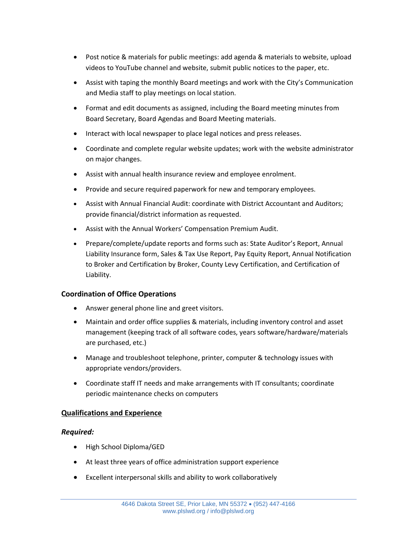- Post notice & materials for public meetings: add agenda & materials to website, upload videos to YouTube channel and website, submit public notices to the paper, etc.
- Assist with taping the monthly Board meetings and work with the City's Communication and Media staff to play meetings on local station.
- Format and edit documents as assigned, including the Board meeting minutes from Board Secretary, Board Agendas and Board Meeting materials.
- Interact with local newspaper to place legal notices and press releases.
- Coordinate and complete regular website updates; work with the website administrator on major changes.
- Assist with annual health insurance review and employee enrolment.
- Provide and secure required paperwork for new and temporary employees.
- Assist with Annual Financial Audit: coordinate with District Accountant and Auditors; provide financial/district information as requested.
- Assist with the Annual Workers' Compensation Premium Audit.
- Prepare/complete/update reports and forms such as: State Auditor's Report, Annual Liability Insurance form, Sales & Tax Use Report, Pay Equity Report, Annual Notification to Broker and Certification by Broker, County Levy Certification, and Certification of Liability.

# **Coordination of Office Operations**

- Answer general phone line and greet visitors.
- Maintain and order office supplies & materials, including inventory control and asset management (keeping track of all software codes, years software/hardware/materials are purchased, etc.)
- Manage and troubleshoot telephone, printer, computer & technology issues with appropriate vendors/providers.
- Coordinate staff IT needs and make arrangements with IT consultants; coordinate periodic maintenance checks on computers

## **Qualifications and Experience**

## *Required:*

- High School Diploma/GED
- At least three years of office administration support experience
- Excellent interpersonal skills and ability to work collaboratively